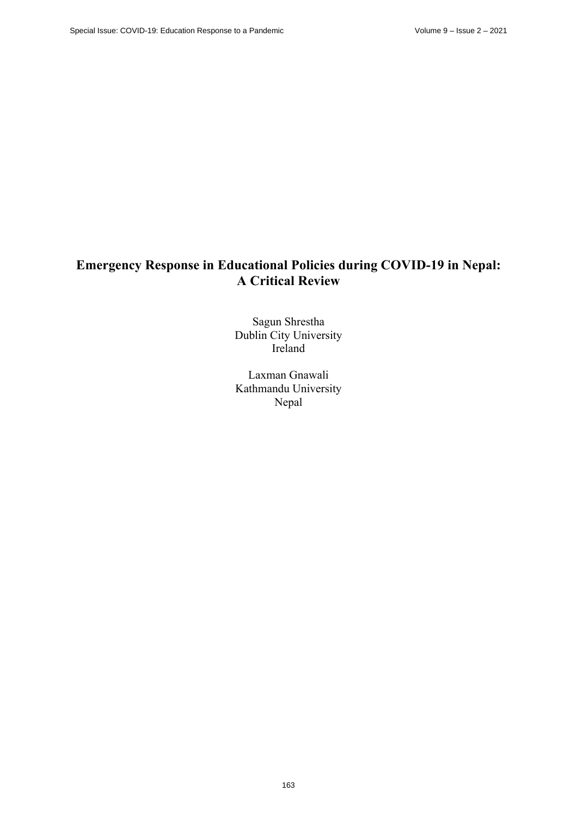# **Emergency Response in Educational Policies during COVID-19 in Nepal: A Critical Review**

Sagun Shrestha Dublin City University Ireland

Laxman Gnawali Kathmandu University Nepal

163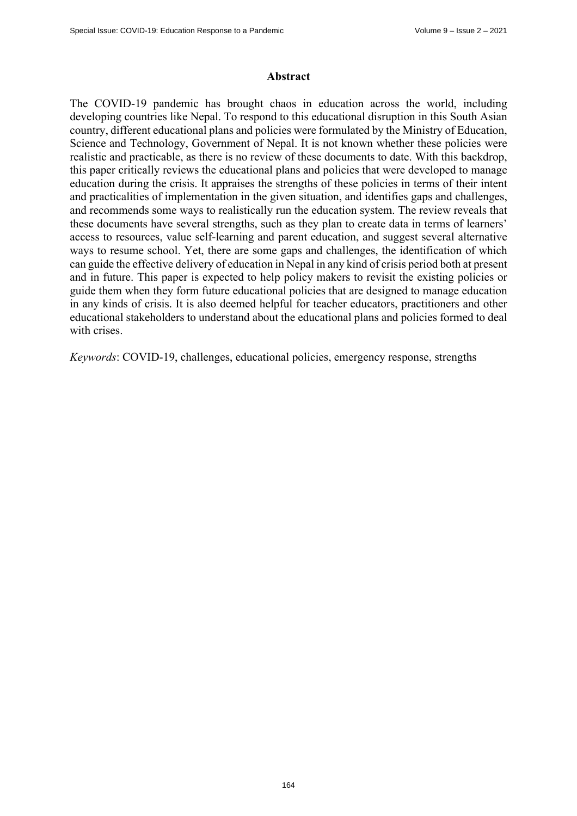#### **Abstract**

The COVID-19 pandemic has brought chaos in education across the world, including developing countries like Nepal. To respond to this educational disruption in this South Asian country, different educational plans and policies were formulated by the Ministry of Education, Science and Technology, Government of Nepal. It is not known whether these policies were realistic and practicable, as there is no review of these documents to date. With this backdrop, this paper critically reviews the educational plans and policies that were developed to manage education during the crisis. It appraises the strengths of these policies in terms of their intent and practicalities of implementation in the given situation, and identifies gaps and challenges, and recommends some ways to realistically run the education system. The review reveals that these documents have several strengths, such as they plan to create data in terms of learners' access to resources, value self-learning and parent education, and suggest several alternative ways to resume school. Yet, there are some gaps and challenges, the identification of which can guide the effective delivery of education in Nepal in any kind of crisis period both at present and in future. This paper is expected to help policy makers to revisit the existing policies or guide them when they form future educational policies that are designed to manage education in any kinds of crisis. It is also deemed helpful for teacher educators, practitioners and other educational stakeholders to understand about the educational plans and policies formed to deal with crises.

*Keywords*: COVID-19, challenges, educational policies, emergency response, strengths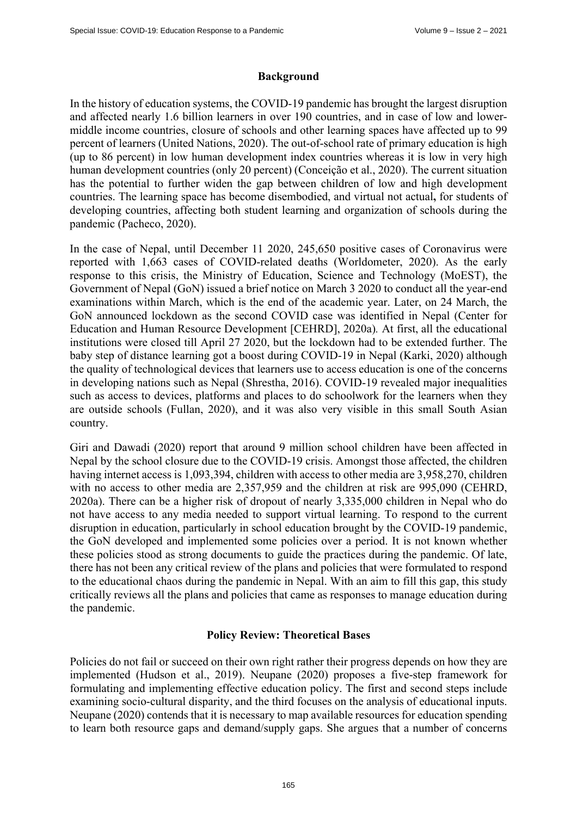## **Background**

In the history of education systems, the COVID-19 pandemic has brought the largest disruption and affected nearly 1.6 billion learners in over 190 countries, and in case of low and lowermiddle income countries, closure of schools and other learning spaces have affected up to 99 percent of learners (United Nations, 2020). The out-of-school rate of primary education is high (up to 86 percent) in low human development index countries whereas it is low in very high human development countries (only 20 percent) (Conceição et al., 2020). The current situation has the potential to further widen the gap between children of low and high development countries. The learning space has become disembodied, and virtual not actual**,** for students of developing countries, affecting both student learning and organization of schools during the pandemic (Pacheco, 2020).

In the case of Nepal, until December 11 2020, 245,650 positive cases of Coronavirus were reported with 1,663 cases of COVID-related deaths (Worldometer, 2020). As the early response to this crisis, the Ministry of Education, Science and Technology (MoEST), the Government of Nepal (GoN) issued a brief notice on March 3 2020 to conduct all the year-end examinations within March, which is the end of the academic year. Later, on 24 March, the GoN announced lockdown as the second COVID case was identified in Nepal (Center for Education and Human Resource Development [CEHRD], 2020a)*.* At first, all the educational institutions were closed till April 27 2020, but the lockdown had to be extended further. The baby step of distance learning got a boost during COVID-19 in Nepal (Karki, 2020) although the quality of technological devices that learners use to access education is one of the concerns in developing nations such as Nepal (Shrestha, 2016). COVID-19 revealed major inequalities such as access to devices, platforms and places to do schoolwork for the learners when they are outside schools (Fullan, 2020), and it was also very visible in this small South Asian country.

Giri and Dawadi (2020) report that around 9 million school children have been affected in Nepal by the school closure due to the COVID-19 crisis. Amongst those affected, the children having internet access is 1,093,394, children with access to other media are 3,958,270, children with no access to other media are 2,357,959 and the children at risk are 995,090 (CEHRD, 2020a). There can be a higher risk of dropout of nearly 3,335,000 children in Nepal who do not have access to any media needed to support virtual learning. To respond to the current disruption in education, particularly in school education brought by the COVID-19 pandemic, the GoN developed and implemented some policies over a period. It is not known whether these policies stood as strong documents to guide the practices during the pandemic. Of late, there has not been any critical review of the plans and policies that were formulated to respond to the educational chaos during the pandemic in Nepal. With an aim to fill this gap, this study critically reviews all the plans and policies that came as responses to manage education during the pandemic.

## **Policy Review: Theoretical Bases**

Policies do not fail or succeed on their own right rather their progress depends on how they are implemented (Hudson et al., 2019). Neupane (2020) proposes a five-step framework for formulating and implementing effective education policy. The first and second steps include examining socio-cultural disparity, and the third focuses on the analysis of educational inputs. Neupane (2020) contends that it is necessary to map available resources for education spending to learn both resource gaps and demand/supply gaps. She argues that a number of concerns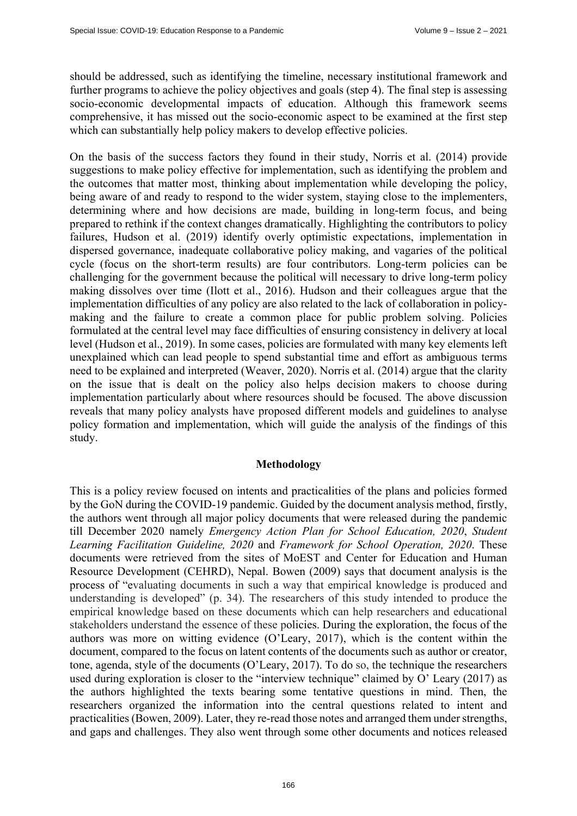should be addressed, such as identifying the timeline, necessary institutional framework and further programs to achieve the policy objectives and goals (step 4). The final step is assessing socio-economic developmental impacts of education. Although this framework seems comprehensive, it has missed out the socio-economic aspect to be examined at the first step which can substantially help policy makers to develop effective policies.

On the basis of the success factors they found in their study, Norris et al. (2014) provide suggestions to make policy effective for implementation, such as identifying the problem and the outcomes that matter most, thinking about implementation while developing the policy, being aware of and ready to respond to the wider system, staying close to the implementers, determining where and how decisions are made, building in long-term focus, and being prepared to rethink if the context changes dramatically. Highlighting the contributors to policy failures, Hudson et al. (2019) identify overly optimistic expectations, implementation in dispersed governance, inadequate collaborative policy making, and vagaries of the political cycle (focus on the short-term results) are four contributors. Long-term policies can be challenging for the government because the political will necessary to drive long-term policy making dissolves over time (Ilott et al., 2016). Hudson and their colleagues argue that the implementation difficulties of any policy are also related to the lack of collaboration in policymaking and the failure to create a common place for public problem solving. Policies formulated at the central level may face difficulties of ensuring consistency in delivery at local level (Hudson et al., 2019). In some cases, policies are formulated with many key elements left unexplained which can lead people to spend substantial time and effort as ambiguous terms need to be explained and interpreted (Weaver, 2020). Norris et al. (2014) argue that the clarity on the issue that is dealt on the policy also helps decision makers to choose during implementation particularly about where resources should be focused. The above discussion reveals that many policy analysts have proposed different models and guidelines to analyse policy formation and implementation, which will guide the analysis of the findings of this study.

#### **Methodology**

This is a policy review focused on intents and practicalities of the plans and policies formed by the GoN during the COVID-19 pandemic. Guided by the document analysis method, firstly, the authors went through all major policy documents that were released during the pandemic till December 2020 namely *Emergency Action Plan for School Education, 2020*, *Student Learning Facilitation Guideline, 2020* and *Framework for School Operation, 2020*. These documents were retrieved from the sites of MoEST and Center for Education and Human Resource Development (CEHRD), Nepal. Bowen (2009) says that document analysis is the process of "evaluating documents in such a way that empirical knowledge is produced and understanding is developed" (p. 34). The researchers of this study intended to produce the empirical knowledge based on these documents which can help researchers and educational stakeholders understand the essence of these policies. During the exploration, the focus of the authors was more on witting evidence (O'Leary, 2017), which is the content within the document, compared to the focus on latent contents of the documents such as author or creator, tone, agenda, style of the documents (O'Leary, 2017). To do so, the technique the researchers used during exploration is closer to the "interview technique" claimed by O' Leary (2017) as the authors highlighted the texts bearing some tentative questions in mind. Then, the researchers organized the information into the central questions related to intent and practicalities (Bowen, 2009). Later, they re-read those notes and arranged them under strengths, and gaps and challenges. They also went through some other documents and notices released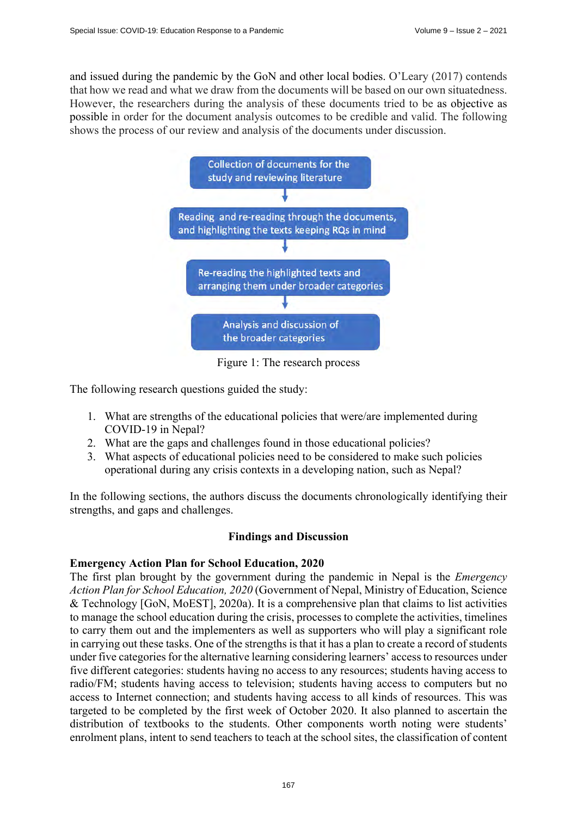and issued during the pandemic by the GoN and other local bodies. O'Leary (2017) contends that how we read and what we draw from the documents will be based on our own situatedness. However, the researchers during the analysis of these documents tried to be as objective as possible in order for the document analysis outcomes to be credible and valid. The following shows the process of our review and analysis of the documents under discussion.



Figure 1: The research process

The following research questions guided the study:

- 1. What are strengths of the educational policies that were/are implemented during COVID-19 in Nepal?
- 2. What are the gaps and challenges found in those educational policies?
- 3. What aspects of educational policies need to be considered to make such policies operational during any crisis contexts in a developing nation, such as Nepal?

In the following sections, the authors discuss the documents chronologically identifying their strengths, and gaps and challenges.

# **Findings and Discussion**

# **Emergency Action Plan for School Education, 2020**

The first plan brought by the government during the pandemic in Nepal is the *Emergency Action Plan for School Education, 2020* (Government of Nepal, Ministry of Education, Science & Technology [GoN, MoEST], 2020a). It is a comprehensive plan that claims to list activities to manage the school education during the crisis, processes to complete the activities, timelines to carry them out and the implementers as well as supporters who will play a significant role in carrying out these tasks. One of the strengths is that it has a plan to create a record of students under five categories for the alternative learning considering learners' access to resources under five different categories: students having no access to any resources; students having access to radio/FM; students having access to television; students having access to computers but no access to Internet connection; and students having access to all kinds of resources. This was targeted to be completed by the first week of October 2020. It also planned to ascertain the distribution of textbooks to the students. Other components worth noting were students' enrolment plans, intent to send teachers to teach at the school sites, the classification of content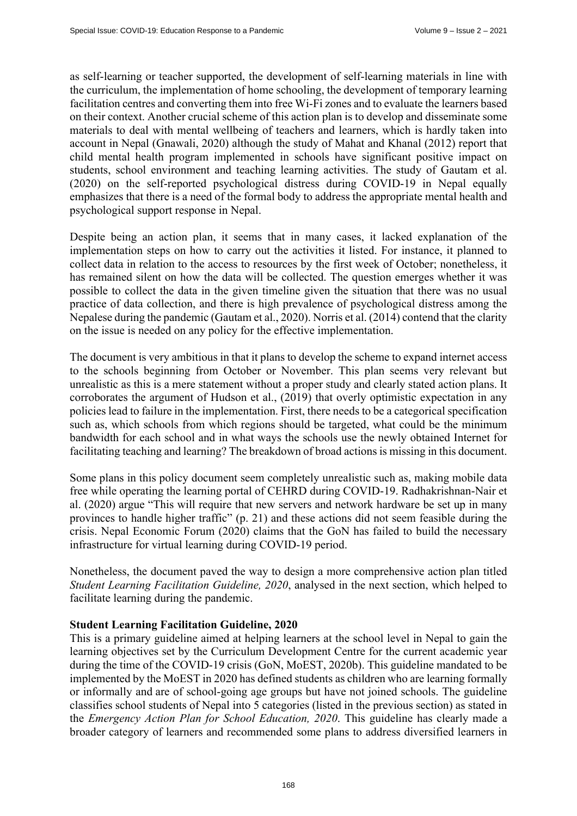as self-learning or teacher supported, the development of self-learning materials in line with the curriculum, the implementation of home schooling, the development of temporary learning facilitation centres and converting them into free Wi-Fi zones and to evaluate the learners based on their context. Another crucial scheme of this action plan is to develop and disseminate some materials to deal with mental wellbeing of teachers and learners, which is hardly taken into account in Nepal (Gnawali, 2020) although the study of Mahat and Khanal (2012) report that child mental health program implemented in schools have significant positive impact on students, school environment and teaching learning activities. The study of Gautam et al. (2020) on the self-reported psychological distress during COVID-19 in Nepal equally emphasizes that there is a need of the formal body to address the appropriate mental health and psychological support response in Nepal.

Despite being an action plan, it seems that in many cases, it lacked explanation of the implementation steps on how to carry out the activities it listed. For instance, it planned to collect data in relation to the access to resources by the first week of October; nonetheless, it has remained silent on how the data will be collected. The question emerges whether it was possible to collect the data in the given timeline given the situation that there was no usual practice of data collection, and there is high prevalence of psychological distress among the Nepalese during the pandemic (Gautam et al., 2020). Norris et al. (2014) contend that the clarity on the issue is needed on any policy for the effective implementation.

The document is very ambitious in that it plans to develop the scheme to expand internet access to the schools beginning from October or November. This plan seems very relevant but unrealistic as this is a mere statement without a proper study and clearly stated action plans. It corroborates the argument of Hudson et al., (2019) that overly optimistic expectation in any policies lead to failure in the implementation. First, there needs to be a categorical specification such as, which schools from which regions should be targeted, what could be the minimum bandwidth for each school and in what ways the schools use the newly obtained Internet for facilitating teaching and learning? The breakdown of broad actions is missing in this document.

Some plans in this policy document seem completely unrealistic such as, making mobile data free while operating the learning portal of CEHRD during COVID-19. Radhakrishnan-Nair et al. (2020) argue "This will require that new servers and network hardware be set up in many provinces to handle higher traffic" (p. 21) and these actions did not seem feasible during the crisis. Nepal Economic Forum (2020) claims that the GoN has failed to build the necessary infrastructure for virtual learning during COVID-19 period.

Nonetheless, the document paved the way to design a more comprehensive action plan titled *Student Learning Facilitation Guideline, 2020*, analysed in the next section, which helped to facilitate learning during the pandemic.

## **Student Learning Facilitation Guideline, 2020**

This is a primary guideline aimed at helping learners at the school level in Nepal to gain the learning objectives set by the Curriculum Development Centre for the current academic year during the time of the COVID-19 crisis (GoN, MoEST, 2020b). This guideline mandated to be implemented by the MoEST in 2020 has defined students as children who are learning formally or informally and are of school-going age groups but have not joined schools. The guideline classifies school students of Nepal into 5 categories (listed in the previous section) as stated in the *Emergency Action Plan for School Education, 2020*. This guideline has clearly made a broader category of learners and recommended some plans to address diversified learners in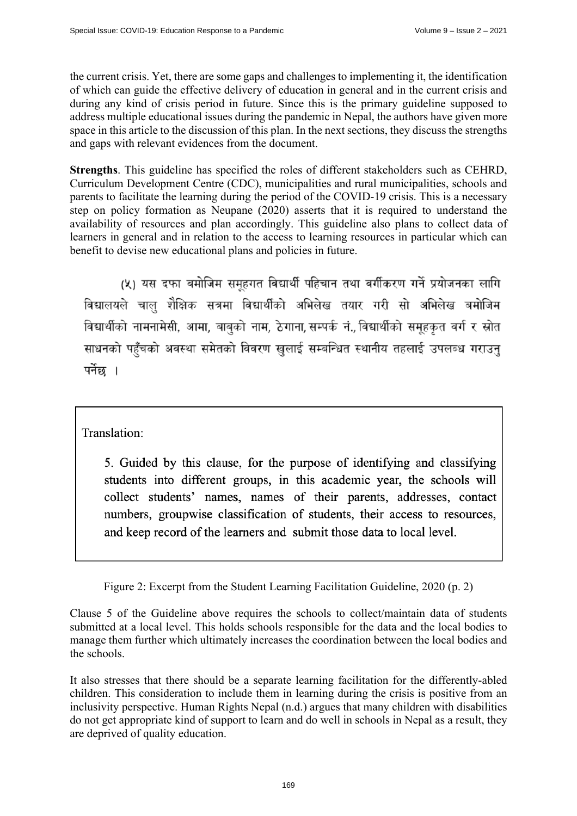the current crisis. Yet, there are some gaps and challenges to implementing it, the identification of which can guide the effective delivery of education in general and in the current crisis and during any kind of crisis period in future. Since this is the primary guideline supposed to address multiple educational issues during the pandemic in Nepal, the authors have given more space in this article to the discussion of this plan. In the next sections, they discuss the strengths and gaps with relevant evidences from the document.

**Strengths**. This guideline has specified the roles of different stakeholders such as CEHRD, Curriculum Development Centre (CDC), municipalities and rural municipalities, schools and parents to facilitate the learning during the period of the COVID-19 crisis. This is a necessary step on policy formation as Neupane (2020) asserts that it is required to understand the availability of resources and plan accordingly. This guideline also plans to collect data of learners in general and in relation to the access to learning resources in particular which can benefit to devise new educational plans and policies in future.

(५) यस दफा बमोजिम समूहगत विद्यार्थी पहिचान तथा वर्गीकरण गर्ने प्रयोजनका लागि विद्यालयले चालु शैक्षिक सत्रमा विद्यार्थीको अभिलेख तयार गरी सो अभिलेख बमोजिम विद्यार्थीको नामनामेसी, आमा, बाबुको नाम, ठेगाना, सम्पर्क नं., विद्यार्थीको समूहकृत वर्ग र स्रोत साधनको पहुँचको अवस्था समेतको विवरण खुलाई सम्बन्धित स्थानीय तहलाई उपलब्ध गराउनु पर्नेछ ।

Translation:

5. Guided by this clause, for the purpose of identifying and classifying students into different groups, in this academic year, the schools will collect students' names, names of their parents, addresses, contact numbers, groupwise classification of students, their access to resources, and keep record of the learners and submit those data to local level.

Figure 2: Excerpt from the Student Learning Facilitation Guideline, 2020 (p. 2)

Clause 5 of the Guideline above requires the schools to collect/maintain data of students submitted at a local level. This holds schools responsible for the data and the local bodies to manage them further which ultimately increases the coordination between the local bodies and the schools.

It also stresses that there should be a separate learning facilitation for the differently-abled children. This consideration to include them in learning during the crisis is positive from an inclusivity perspective. Human Rights Nepal (n.d.) argues that many children with disabilities do not get appropriate kind of support to learn and do well in schools in Nepal as a result, they are deprived of quality education.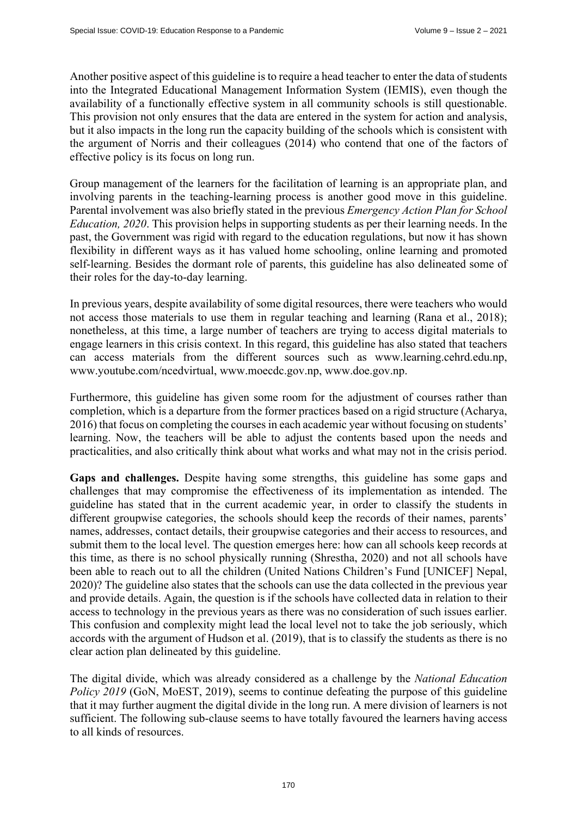Another positive aspect of this guideline is to require a head teacher to enter the data of students into the Integrated Educational Management Information System (IEMIS), even though the availability of a functionally effective system in all community schools is still questionable. This provision not only ensures that the data are entered in the system for action and analysis, but it also impacts in the long run the capacity building of the schools which is consistent with the argument of Norris and their colleagues (2014) who contend that one of the factors of effective policy is its focus on long run.

Group management of the learners for the facilitation of learning is an appropriate plan, and involving parents in the teaching-learning process is another good move in this guideline. Parental involvement was also briefly stated in the previous *Emergency Action Plan for School Education, 2020*. This provision helps in supporting students as per their learning needs. In the past, the Government was rigid with regard to the education regulations, but now it has shown flexibility in different ways as it has valued home schooling, online learning and promoted self-learning. Besides the dormant role of parents, this guideline has also delineated some of their roles for the day-to-day learning.

In previous years, despite availability of some digital resources, there were teachers who would not access those materials to use them in regular teaching and learning (Rana et al., 2018); nonetheless, at this time, a large number of teachers are trying to access digital materials to engage learners in this crisis context. In this regard, this guideline has also stated that teachers can access materials from the different sources such as [www.learning.cehrd.edu.np,](http://www.learning.cehrd.edu.np)  [www.youtube.com/ncedvirtual, w](http://www.youtube.com/ncedvirtual)[ww.moecdc.gov.np, w](http://www.moecdc.gov.np)[ww.doe.gov.np.](http://www.doe.gov.np) 

Furthermore, this guideline has given some room for the adjustment of courses rather than completion, which is a departure from the former practices based on a rigid structure (Acharya, 2016) that focus on completing the courses in each academic year without focusing on students' learning. Now, the teachers will be able to adjust the contents based upon the needs and practicalities, and also critically think about what works and what may not in the crisis period.

**Gaps and challenges.** Despite having some strengths, this guideline has some gaps and challenges that may compromise the effectiveness of its implementation as intended. The guideline has stated that in the current academic year, in order to classify the students in different groupwise categories, the schools should keep the records of their names, parents' names, addresses, contact details, their groupwise categories and their access to resources, and submit them to the local level. The question emerges here: how can all schools keep records at this time, as there is no school physically running (Shrestha, 2020) and not all schools have been able to reach out to all the children (United Nations Children's Fund [UNICEF] Nepal, 2020)? The guideline also states that the schools can use the data collected in the previous year and provide details. Again, the question is if the schools have collected data in relation to their access to technology in the previous years as there was no consideration of such issues earlier. This confusion and complexity might lead the local level not to take the job seriously, which accords with the argument of Hudson et al. (2019), that is to classify the students as there is no clear action plan delineated by this guideline.

The digital divide, which was already considered as a challenge by the *National Education Policy 2019* (GoN, MoEST, 2019), seems to continue defeating the purpose of this guideline that it may further augment the digital divide in the long run. A mere division of learners is not sufficient. The following sub-clause seems to have totally favoured the learners having access to all kinds of resources.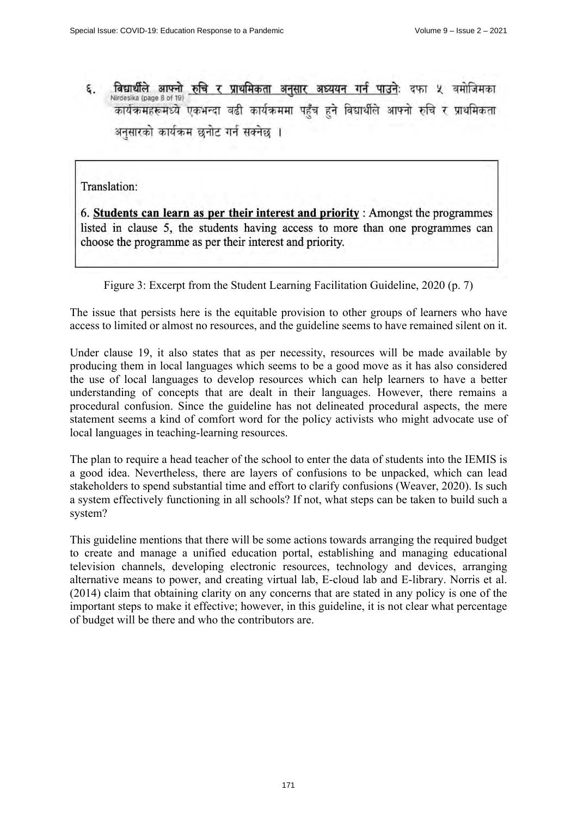विद्यार्थीले आफ्नो रुचि र प्राथमिकता अनुसार अध्ययन गर्न पाउनेः दफा ५ बमोजिमका ε. Nirdesika (page 8 of 19) अनुसारको कार्यक्रम छनोट गर्न सक्नेछ ।

Translation:

6. Students can learn as per their interest and priority: Amongst the programmes listed in clause 5, the students having access to more than one programmes can choose the programme as per their interest and priority.

## Figure 3: Excerpt from the Student Learning Facilitation Guideline, 2020 (p. 7)

The issue that persists here is the equitable provision to other groups of learners who have access to limited or almost no resources, and the guideline seems to have remained silent on it.

Under clause 19, it also states that as per necessity, resources will be made available by producing them in local languages which seems to be a good move as it has also considered the use of local languages to develop resources which can help learners to have a better understanding of concepts that are dealt in their languages. However, there remains a procedural confusion. Since the guideline has not delineated procedural aspects, the mere statement seems a kind of comfort word for the policy activists who might advocate use of local languages in teaching-learning resources.

The plan to require a head teacher of the school to enter the data of students into the IEMIS is a good idea. Nevertheless, there are layers of confusions to be unpacked, which can lead stakeholders to spend substantial time and effort to clarify confusions (Weaver, 2020). Is such a system effectively functioning in all schools? If not, what steps can be taken to build such a system?

This guideline mentions that there will be some actions towards arranging the required budget to create and manage a unified education portal, establishing and managing educational television channels, developing electronic resources, technology and devices, arranging alternative means to power, and creating virtual lab, E-cloud lab and E-library. Norris et al. (2014) claim that obtaining clarity on any concerns that are stated in any policy is one of the important steps to make it effective; however, in this guideline, it is not clear what percentage of budget will be there and who the contributors are.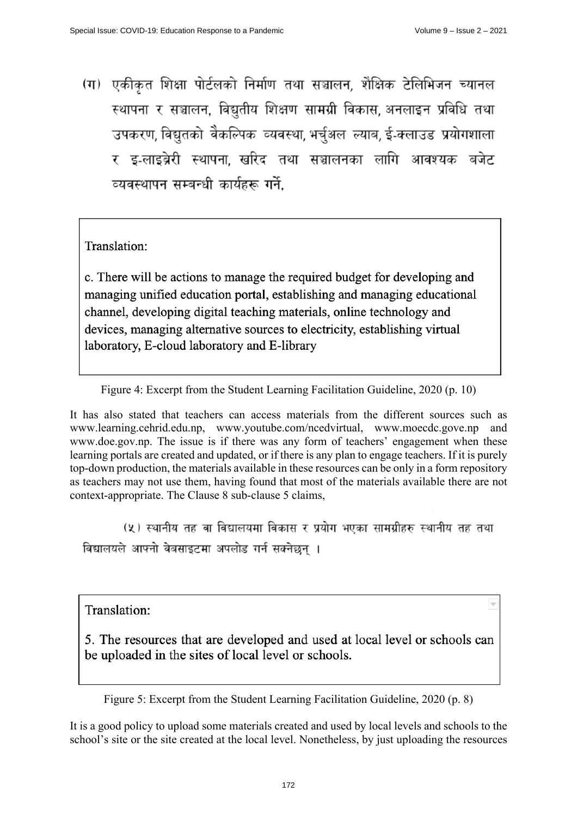(ग) एकीकृत शिक्षा पोर्टलको निर्माण तथा सञ्चालन, शैक्षिक टेलिभिजन च्यानल स्थापना र सञ्चालन, विद्युतीय शिक्षण सामग्री विकास, अनलाइन प्रविधि तथा उपकरण, विद्युतको वैकल्पिक व्यवस्था, भर्चुअल ल्याब, ई-क्लाउड प्रयोगशाला र इ-लाइब्रेरी स्थापना खरिद तथा सञ्चालनका लागि आवश्यक बजेट व्यवस्थापन सम्बन्धी कार्यहरू गर्ने.

Translation:

c. There will be actions to manage the required budget for developing and managing unified education portal, establishing and managing educational channel, developing digital teaching materials, online technology and devices, managing alternative sources to electricity, establishing virtual laboratory, E-cloud laboratory and E-library

Figure 4: Excerpt from the Student Learning Facilitation Guideline, 2020 (p. 10)

It has also stated that teachers can access materials from the different sources such as [www.learning.cehrid.edu.np,](http://www.learning.cehrid.edu.np) [www.youtube.com/ncedvirtual,](http://www.youtube.com/ncedvirtual) [www.moecdc.gove.np](http://www.moecdc.gove.np) and [www.doe.gov.np. T](http://www.doe.gov.np)he issue is if there was any form of teachers' engagement when these learning portals are created and updated, or if there is any plan to engage teachers. If it is purely top-down production, the materials available in these resources can be only in a form repository as teachers may not use them, having found that most of the materials available there are not context-appropriate. The Clause 8 sub-clause 5 claims,

(५) स्थानीय तह वा विद्यालयमा विकास र प्रयोग भएका सामग्रीहरु स्थानीय तह तथा विद्यालयले आफ्नो वेबसाइटमा अपलोड गर्न सक्नेछन ।

Translation:

5. The resources that are developed and used at local level or schools can be uploaded in the sites of local level or schools.

Figure 5: Excerpt from the Student Learning Facilitation Guideline, 2020 (p. 8)

It is a good policy to upload some materials created and used by local levels and schools to the school's site or the site created at the local level. Nonetheless, by just uploading the resources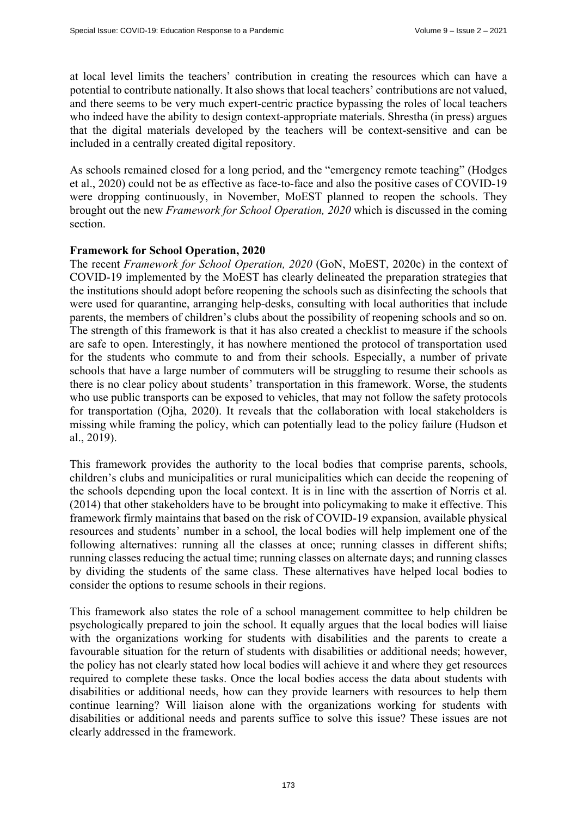at local level limits the teachers' contribution in creating the resources which can have a potential to contribute nationally. It also shows that local teachers' contributions are not valued, and there seems to be very much expert-centric practice bypassing the roles of local teachers who indeed have the ability to design context-appropriate materials. Shrestha (in press) argues that the digital materials developed by the teachers will be context-sensitive and can be included in a centrally created digital repository.

As schools remained closed for a long period, and the "emergency remote teaching" (Hodges et al., 2020) could not be as effective as face-to-face and also the positive cases of COVID-19 were dropping continuously, in November, MoEST planned to reopen the schools. They brought out the new *Framework for School Operation, 2020* which is discussed in the coming section.

#### **Framework for School Operation, 2020**

The recent *Framework for School Operation, 2020* (GoN, MoEST, 2020c) in the context of COVID-19 implemented by the MoEST has clearly delineated the preparation strategies that the institutions should adopt before reopening the schools such as disinfecting the schools that were used for quarantine, arranging help-desks, consulting with local authorities that include parents, the members of children's clubs about the possibility of reopening schools and so on. The strength of this framework is that it has also created a checklist to measure if the schools are safe to open. Interestingly, it has nowhere mentioned the protocol of transportation used for the students who commute to and from their schools. Especially, a number of private schools that have a large number of commuters will be struggling to resume their schools as there is no clear policy about students' transportation in this framework. Worse, the students who use public transports can be exposed to vehicles, that may not follow the safety protocols for transportation (Ojha, 2020). It reveals that the collaboration with local stakeholders is missing while framing the policy, which can potentially lead to the policy failure (Hudson et al., 2019).

This framework provides the authority to the local bodies that comprise parents, schools, children's clubs and municipalities or rural municipalities which can decide the reopening of the schools depending upon the local context. It is in line with the assertion of Norris et al. (2014) that other stakeholders have to be brought into policymaking to make it effective. This framework firmly maintains that based on the risk of COVID-19 expansion, available physical resources and students' number in a school, the local bodies will help implement one of the following alternatives: running all the classes at once; running classes in different shifts; running classes reducing the actual time; running classes on alternate days; and running classes by dividing the students of the same class. These alternatives have helped local bodies to consider the options to resume schools in their regions.

This framework also states the role of a school management committee to help children be psychologically prepared to join the school. It equally argues that the local bodies will liaise with the organizations working for students with disabilities and the parents to create a favourable situation for the return of students with disabilities or additional needs; however, the policy has not clearly stated how local bodies will achieve it and where they get resources required to complete these tasks. Once the local bodies access the data about students with disabilities or additional needs, how can they provide learners with resources to help them continue learning? Will liaison alone with the organizations working for students with disabilities or additional needs and parents suffice to solve this issue? These issues are not clearly addressed in the framework.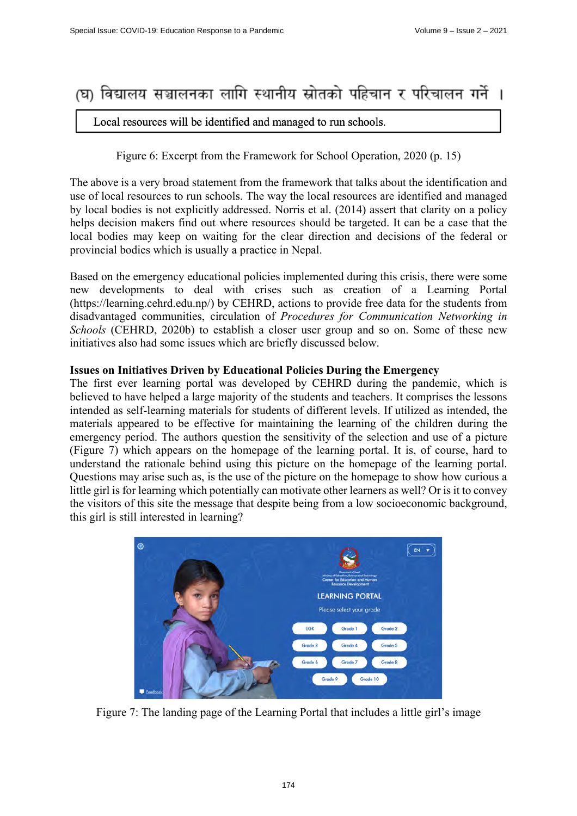# (घ) विद्यालय सञ्चालनका लागि स्थानीय स्रोतको पहिचान र परिचालन गर्ने ।

## Local resources will be identified and managed to run schools.

Figure 6: Excerpt from the Framework for School Operation, 2020 (p. 15)

The above is a very broad statement from the framework that talks about the identification and use of local resources to run schools. The way the local resources are identified and managed by local bodies is not explicitly addressed. Norris et al. (2014) assert that clarity on a policy helps decision makers find out where resources should be targeted. It can be a case that the local bodies may keep on waiting for the clear direction and decisions of the federal or provincial bodies which is usually a practice in Nepal.

Based on the emergency educational policies implemented during this crisis, there were some new developments to deal with crises such as creation of a Learning Portal ([https://learning.cehrd.edu.np/\) by](https://learning.cehrd.edu.np/) CEHRD, actions to provide free data for the students from disadvantaged communities, circulation of *Procedures for Communication Networking in Schools* (CEHRD, 2020b) to establish a closer user group and so on. Some of these new initiatives also had some issues which are briefly discussed below.

## **Issues on Initiatives Driven by Educational Policies During the Emergency**

The first ever learning portal was developed by CEHRD during the pandemic, which is believed to have helped a large majority of the students and teachers. It comprises the lessons intended as self-learning materials for students of different levels. If utilized as intended, the materials appeared to be effective for maintaining the learning of the children during the emergency period. The authors question the sensitivity of the selection and use of a picture (Figure 7) which appears on the homepage of the learning portal. It is, of course, hard to understand the rationale behind using this picture on the homepage of the learning portal. Questions may arise such as, is the use of the picture on the homepage to show how curious a little girl is for learning which potentially can motivate other learners as well? Or is it to convey the visitors of this site the message that despite being from a low socioeconomic background, this girl is still interested in learning?



Figure 7: The landing page of the Learning Portal that includes a little girl's image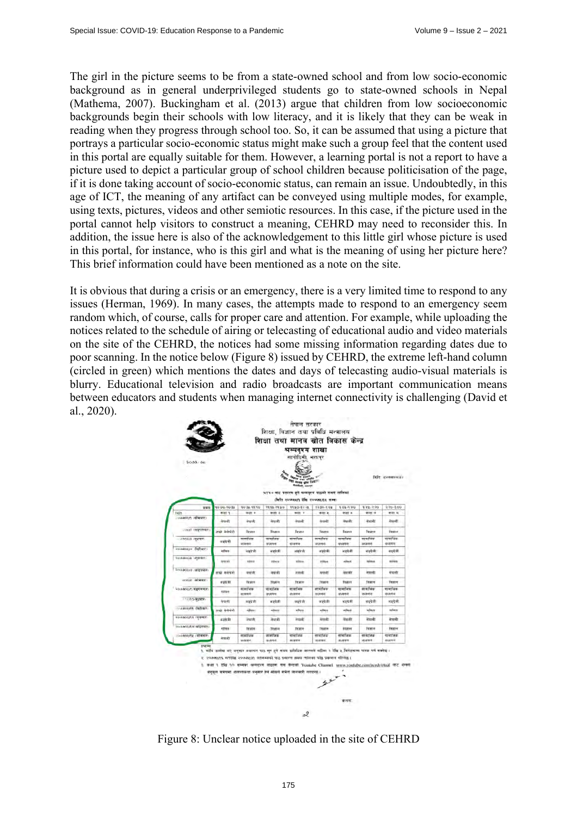The girl in the picture seems to be from a state-owned school and from low socio-economic background as in general underprivileged students go to state-owned schools in Nepal (Mathema, 2007). Buckingham et al. (2013) argue that children from low socioeconomic backgrounds begin their schools with low literacy, and it is likely that they can be weak in reading when they progress through school too. So, it can be assumed that using a picture that portrays a particular socio-economic status might make such a group feel that the content used in this portal are equally suitable for them. However, a learning portal is not a report to have a picture used to depict a particular group of school children because politicisation of the page, if it is done taking account of socio-economic status, can remain an issue. Undoubtedly, in this age of ICT, the meaning of any artifact can be conveyed using multiple modes, for example, using texts, pictures, videos and other semiotic resources. In this case, if the picture used in the portal cannot help visitors to construct a meaning, CEHRD may need to reconsider this. In addition, the issue here is also of the acknowledgement to this little girl whose picture is used in this portal, for instance, who is this girl and what is the meaning of using her picture here? This brief information could have been mentioned as a note on the site.

It is obvious that during a crisis or an emergency, there is a very limited time to respond to any issues (Herman, 1969). In many cases, the attempts made to respond to an emergency seem random which, of course, calls for proper care and attention. For example, while uploading the notices related to the schedule of airing or telecasting of educational audio and video materials on the site of the CEHRD, the notices had some missing information regarding dates due to poor scanning. In the notice below (Figure 8) issued by CEHRD, the extreme left-hand column (circled in green) which mentions the dates and days of telecasting audio-visual materials is blurry. Educational television and radio broadcasts are important communication means between educators and students when managing internet connectivity is challenging (David et al., 2020).

| 2000/06                      |                                                                                                                                                                                                                                                                                                                                                                                                       | <b>Angel and family</b><br><b>Million</b> , apartyr<br>NTV+ बाट प्रसारण हने सम्बद्दरव पाठको समय तालिका |                          |                                 |                                 |                         | <b>Birt Rowanswitz</b> |                      |
|------------------------------|-------------------------------------------------------------------------------------------------------------------------------------------------------------------------------------------------------------------------------------------------------------------------------------------------------------------------------------------------------------------------------------------------------|--------------------------------------------------------------------------------------------------------|--------------------------|---------------------------------|---------------------------------|-------------------------|------------------------|----------------------|
|                              |                                                                                                                                                                                                                                                                                                                                                                                                       |                                                                                                        |                          | (बिति २०७७x हैसि २०७७x/१x सम्ब) |                                 |                         |                        |                      |
| 有需定                          | 40.00.90 la                                                                                                                                                                                                                                                                                                                                                                                           | <b>90 BL-TT-TO</b>                                                                                     | <b>99.99.00</b>          | 1120-12-12                      | 1200-102                        | 101-170                 | 972.330                | $270 - 800$          |
| Tudiy                        | ariet 1                                                                                                                                                                                                                                                                                                                                                                                               | auer o                                                                                                 | <b>Will 3</b>            | witt V                          | 400 %                           | aser x                  | 200 <sup>2</sup>       | and in               |
| - vallery n reflexion        | <b>Grandt</b>                                                                                                                                                                                                                                                                                                                                                                                         | Arazofi:                                                                                               | iranh.                   | नेपाली                          | नेपासी                          | नामाली.                 | -levels                | <b>Jewell</b>        |
| <b>UVAIR CRESTMENT</b>       | ताक्षी केरोपीजी                                                                                                                                                                                                                                                                                                                                                                                       | Eligatore                                                                                              | <b>Firano</b>            | Tarana                          | Ticytra                         | Taranya                 | Team                   | <b>Figure</b>        |
| <b>SNOCK INVERTIBLE</b>      | वाइंग्रेजी                                                                                                                                                                                                                                                                                                                                                                                            | नामग्री तक<br>entered                                                                                  | मामारिक<br><b>STATE4</b> | मार्माजन<br>stures.             | नामाणिक<br><b>WORRY!</b>        | मामाजिक<br><b>SVIDS</b> | मामाजिक<br>acent       | बायाचिक<br>安古安市      |
| sowedness digitants          | <b><i><u>effront</u></i></b>                                                                                                                                                                                                                                                                                                                                                                          | lestrate                                                                                               | बनाये जै।                | 式実す者                            | जल्येकी                         | <b>Website</b>          | बड़पेजी                | 確認取得)                |
| <b>Sodukrea</b> implies      | <b>AWIRT</b>                                                                                                                                                                                                                                                                                                                                                                                          | men                                                                                                    | volvers.                 | inform.                         | <b>RTRUA</b>                    | other.                  | orturn.                | <b>ATTEN</b>         |
| Socialized categories        | शाया नराफरा                                                                                                                                                                                                                                                                                                                                                                                           | नेपाली                                                                                                 | amidr                    | am4r                            | नेपाधी                          | avrillin                | नेपाली                 | केवानी               |
| antice labour.               | <b>STEP AT</b>                                                                                                                                                                                                                                                                                                                                                                                        | Pages                                                                                                  | <b>Num</b>               | <b>Timerry</b>                  | Trare                           | <b>Ficara</b>           | Teatra                 | firmer               |
| <b>SOUNDAY, WERNIER</b>      | <b>FORM</b>                                                                                                                                                                                                                                                                                                                                                                                           | बामर्ताजक<br>बावयने                                                                                    | वाम्योजन<br>MUNITY       | साधारिक<br><b>MODIFIER</b>      | <i><b>availare</b></i><br>ucasi | सामग्रीहरू<br>前期空间      | सामाजिक<br>ucasive     | बामायिक<br>astrak    |
| 1100の現場所                     | <b>Internet</b>                                                                                                                                                                                                                                                                                                                                                                                       | interation                                                                                             | 可读方                      | 93973                           | weighth                         | ward dit                | अवयेजी                 | (优装管项)               |
| presented distinct           | mak deriviti                                                                                                                                                                                                                                                                                                                                                                                          | <b>ASTERT</b>                                                                                          | <b>ASSIST</b>            | <b>William</b>                  | <b>villent</b>                  | without                 | where                  | <i><b>Infant</b></i> |
| <b>ROOMOKAS (PERMIT)</b>     | say h                                                                                                                                                                                                                                                                                                                                                                                                 | नेपाली                                                                                                 | नेपाली                   | am41                            | नगणनी                           | <b>JPan-AY</b>          | avenue.                | <b>Jermste</b>       |
| installigity of the process. | गरियत                                                                                                                                                                                                                                                                                                                                                                                                 | Financie                                                                                               | <b>Stratrick</b>         | Feina                           | Titutta                         | <b><i>Els Broad</i></b> | Tirintell              | firme                |
| ENVIRONMENT (WITHOUT !!      | <b>Jessier</b>                                                                                                                                                                                                                                                                                                                                                                                        | सामाजिक<br>texterin                                                                                    | सामाप्रिय<br>加度室         | सामाजिक<br><b>Sharkin</b>       | नामानिक<br><b>SERVICE</b>       | सामाजिक<br>914975       | सामाजिक<br>確認関数件       | शायां रूक<br>mozair  |
| <b>Gefast</b>                | १. माथि उपलेख वर्ग अनुसार कक्षागत पाढ बस इने समय प्रतिविधि अरस्पर्छ वहीमा २ डिंग्र ३ मिनेश्वरम्म फरक पर्ने सब्नेख।<br>२. २०७७/११६ गतेरीके २०७३/११ यतेसम्बन्धे पाठ प्रसारण समय तालिका पछि प्रकाशन गतिनेता ।<br>1 कर्ता 1 टीस 10 सम्बन अन्यदर्श्य पाइडल वस केन्द्रती Yunisbe Channel www.youtube.com/myslyirinal कीर्ट अपनी<br>ब्रेन्द्रस्त समयमा अत्तरयक्षरता अनुसारं तेने मोकले समेत जानकारी गरादगई । |                                                                                                        |                          |                                 | $22 -$                          |                         |                        |                      |

Figure 8: Unclear notice uploaded in the site of CEHRD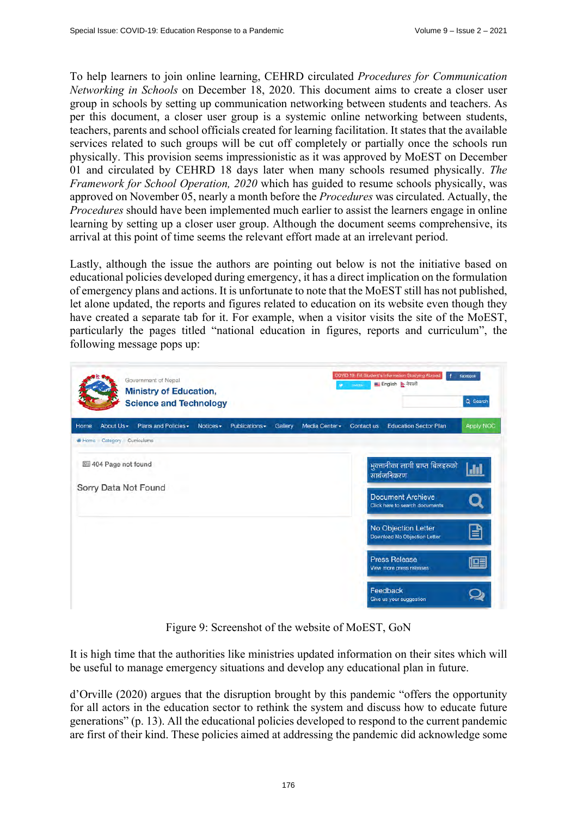To help learners to join online learning, CEHRD circulated *Procedures for Communication Networking in Schools* on December 18, 2020. This document aims to create a closer user group in schools by setting up communication networking between students and teachers. As per this document, a closer user group is a systemic online networking between students, teachers, parents and school officials created for learning facilitation. It states that the available services related to such groups will be cut off completely or partially once the schools run physically. This provision seems impressionistic as it was approved by MoEST on December 01 and circulated by CEHRD 18 days later when many schools resumed physically. *The Framework for School Operation, 2020* which has guided to resume schools physically, was approved on November 05, nearly a month before the *Procedures* was circulated. Actually, the *Procedures* should have been implemented much earlier to assist the learners engage in online learning by setting up a closer user group. Although the document seems comprehensive, its arrival at this point of time seems the relevant effort made at an irrelevant period.

Lastly, although the issue the authors are pointing out below is not the initiative based on educational policies developed during emergency, it has a direct implication on the formulation of emergency plans and actions. It is unfortunate to note that the MoEST still has not published, let alone updated, the reports and figures related to education on its website even though they have created a separate tab for it. For example, when a visitor visits the site of the MoEST, particularly the pages titled "national education in figures, reports and curriculum", the following message pops up:

| Government of Nepal<br><b>Ministry of Education,</b><br><b>Science and Technology</b>                  | COVID 19: Fill Student's Information Studying Abroad<br>٠<br>facebook<br>English & नेपाली<br><b>TWILTER</b><br>÷<br>Q Search |  |  |  |  |
|--------------------------------------------------------------------------------------------------------|------------------------------------------------------------------------------------------------------------------------------|--|--|--|--|
| About Us -<br>Plans and Policies -<br>Home<br>Publications -<br>Notices -<br>Gallery<br>Media Center - | <b>Education Sector Plan</b><br>Apply NOC<br>Contact us                                                                      |  |  |  |  |
| Home Category Curriculums                                                                              |                                                                                                                              |  |  |  |  |
| 404 Page not found                                                                                     | भुक्तानीका लागी प्राप्त बिलहरुको<br>$\ln$<br>सार्बजनिकरण                                                                     |  |  |  |  |
| Sorry Data Not Found                                                                                   | <b>Document Archieve</b>                                                                                                     |  |  |  |  |
|                                                                                                        | Click here to search documents                                                                                               |  |  |  |  |
|                                                                                                        | No Objection Letter<br>B<br>Download No Objection Letter                                                                     |  |  |  |  |
|                                                                                                        | <b>Press Release</b><br>喧<br>View more press releases                                                                        |  |  |  |  |
|                                                                                                        |                                                                                                                              |  |  |  |  |
|                                                                                                        | Feedback<br>Give us your suggestion                                                                                          |  |  |  |  |

Figure 9: Screenshot of the website of MoEST, GoN

It is high time that the authorities like ministries updated information on their sites which will be useful to manage emergency situations and develop any educational plan in future.

d'Orville (2020) argues that the disruption brought by this pandemic "offers the opportunity for all actors in the education sector to rethink the system and discuss how to educate future generations" (p. 13). All the educational policies developed to respond to the current pandemic are first of their kind. These policies aimed at addressing the pandemic did acknowledge some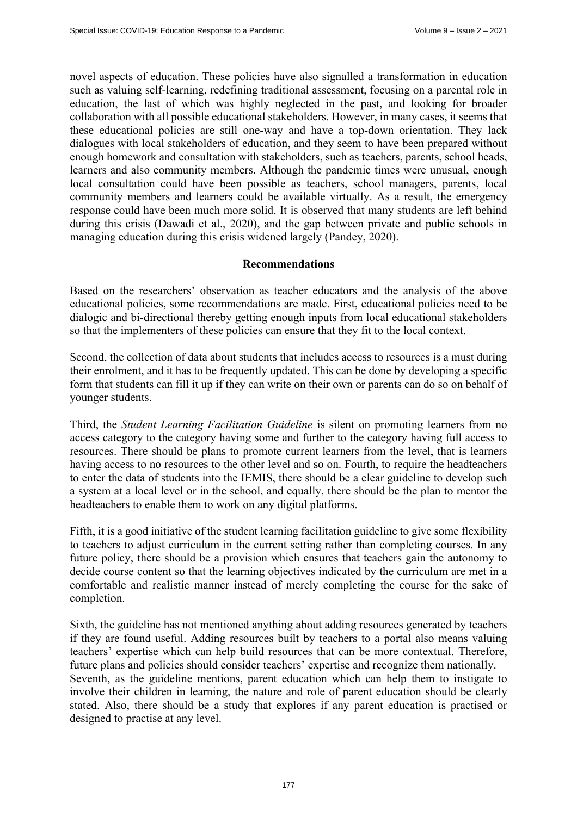novel aspects of education. These policies have also signalled a transformation in education such as valuing self-learning, redefining traditional assessment, focusing on a parental role in education, the last of which was highly neglected in the past, and looking for broader collaboration with all possible educational stakeholders. However, in many cases, it seems that these educational policies are still one-way and have a top-down orientation. They lack dialogues with local stakeholders of education, and they seem to have been prepared without enough homework and consultation with stakeholders, such as teachers, parents, school heads, learners and also community members. Although the pandemic times were unusual, enough local consultation could have been possible as teachers, school managers, parents, local community members and learners could be available virtually. As a result, the emergency response could have been much more solid. It is observed that many students are left behind during this crisis (Dawadi et al., 2020), and the gap between private and public schools in managing education during this crisis widened largely (Pandey, 2020).

## **Recommendations**

Based on the researchers' observation as teacher educators and the analysis of the above educational policies, some recommendations are made. First, educational policies need to be dialogic and bi-directional thereby getting enough inputs from local educational stakeholders so that the implementers of these policies can ensure that they fit to the local context.

Second, the collection of data about students that includes access to resources is a must during their enrolment, and it has to be frequently updated. This can be done by developing a specific form that students can fill it up if they can write on their own or parents can do so on behalf of younger students.

Third, the *Student Learning Facilitation Guideline* is silent on promoting learners from no access category to the category having some and further to the category having full access to resources. There should be plans to promote current learners from the level, that is learners having access to no resources to the other level and so on. Fourth, to require the headteachers to enter the data of students into the IEMIS, there should be a clear guideline to develop such a system at a local level or in the school, and equally, there should be the plan to mentor the headteachers to enable them to work on any digital platforms.

Fifth, it is a good initiative of the student learning facilitation guideline to give some flexibility to teachers to adjust curriculum in the current setting rather than completing courses. In any future policy, there should be a provision which ensures that teachers gain the autonomy to decide course content so that the learning objectives indicated by the curriculum are met in a comfortable and realistic manner instead of merely completing the course for the sake of completion.

Sixth, the guideline has not mentioned anything about adding resources generated by teachers if they are found useful. Adding resources built by teachers to a portal also means valuing teachers' expertise which can help build resources that can be more contextual. Therefore, future plans and policies should consider teachers' expertise and recognize them nationally. Seventh, as the guideline mentions, parent education which can help them to instigate to involve their children in learning, the nature and role of parent education should be clearly stated. Also, there should be a study that explores if any parent education is practised or designed to practise at any level.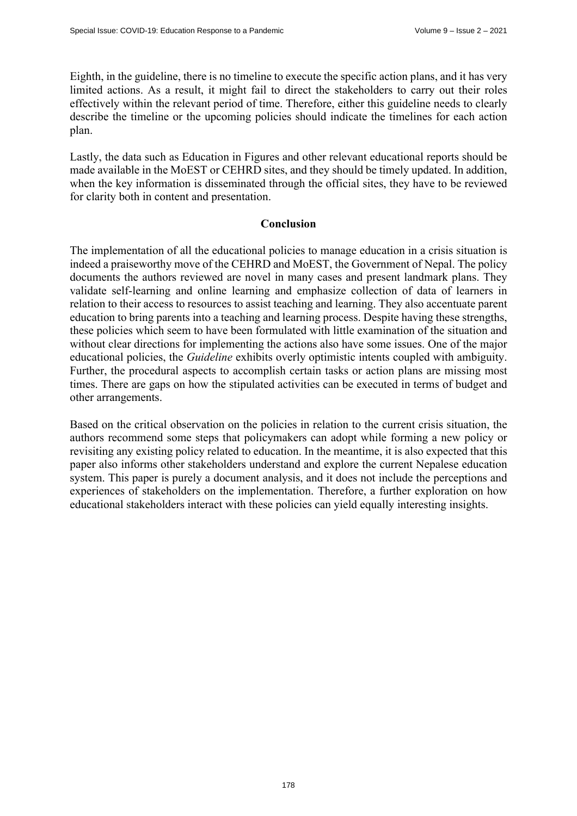Eighth, in the guideline, there is no timeline to execute the specific action plans, and it has very limited actions. As a result, it might fail to direct the stakeholders to carry out their roles effectively within the relevant period of time. Therefore, either this guideline needs to clearly describe the timeline or the upcoming policies should indicate the timelines for each action plan.

Lastly, the data such as Education in Figures and other relevant educational reports should be made available in the MoEST or CEHRD sites, and they should be timely updated. In addition, when the key information is disseminated through the official sites, they have to be reviewed for clarity both in content and presentation.

#### **Conclusion**

The implementation of all the educational policies to manage education in a crisis situation is indeed a praiseworthy move of the CEHRD and MoEST, the Government of Nepal. The policy documents the authors reviewed are novel in many cases and present landmark plans. They validate self-learning and online learning and emphasize collection of data of learners in relation to their access to resources to assist teaching and learning. They also accentuate parent education to bring parents into a teaching and learning process. Despite having these strengths, these policies which seem to have been formulated with little examination of the situation and without clear directions for implementing the actions also have some issues. One of the major educational policies, the *Guideline* exhibits overly optimistic intents coupled with ambiguity. Further, the procedural aspects to accomplish certain tasks or action plans are missing most times. There are gaps on how the stipulated activities can be executed in terms of budget and other arrangements.

Based on the critical observation on the policies in relation to the current crisis situation, the authors recommend some steps that policymakers can adopt while forming a new policy or revisiting any existing policy related to education. In the meantime, it is also expected that this paper also informs other stakeholders understand and explore the current Nepalese education system. This paper is purely a document analysis, and it does not include the perceptions and experiences of stakeholders on the implementation. Therefore, a further exploration on how educational stakeholders interact with these policies can yield equally interesting insights.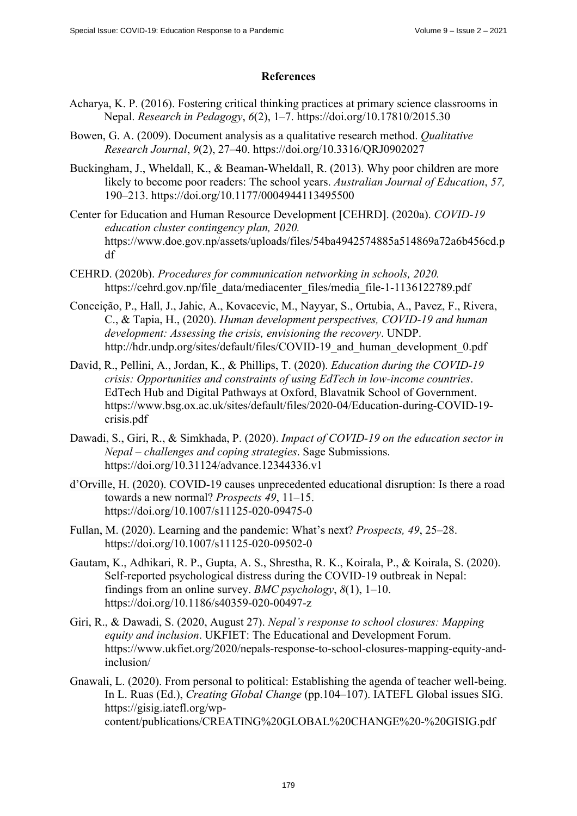## **References**

- Acharya, K. P. (2016). Fostering critical thinking practices at primary science classrooms in Nepal. *Research in Pedagogy*, *6*(2), 1–7.<https://doi.org/10.17810/2015.30>
- Bowen, G. A. (2009). Document analysis as a qualitative research method. *Qualitative Research Journal*, *9*(2), 27–40. <https://doi.org/10.3316/QRJ0902027>
- Buckingham, J., Wheldall, K., & Beaman-Wheldall, R. (2013). Why poor children are more likely to become poor readers: The school years. *Australian Journal of Education*, *57,*  190–213. <https://doi.org/10.1177/0004944113495500>
- Center for Education and Human Resource Development [CEHRD]. (2020a). *COVID-19 education cluster contingency plan, 2020.*  <https://www.doe.gov.np/assets/uploads/files/54ba4942574885a514869a72a6b456cd.p> df
- CEHRD. (2020b). *Procedures for communication networking in schools, 2020.*  [https://cehrd.gov.np/file\\_data/mediacenter\\_files/media\\_file-1-1136122789.pdf](https://cehrd.gov.np/file_data/mediacenter_files/media_file-1-1136122789.pdf)
- Conceição, P., Hall, J., Jahic, A., Kovacevic, M., Nayyar, S., Ortubia, A., Pavez, F., Rivera, C., & Tapia, H., (2020). *Human development perspectives, COVID-19 and human development: Assessing the crisis, envisioning the recovery*. UNDP. [http://hdr.undp.org/sites/default/files/COVID-19\\_and\\_human\\_development\\_0.pdf](http://hdr.undp.org/sites/default/files/COVID-19_and_human_development_0.pdf)
- David, R., Pellini, A., Jordan, K., & Phillips, T. (2020). *Education during the COVID-19 crisis: Opportunities and constraints of using EdTech in low-income countries*. EdTech Hub and Digital Pathways at Oxford, Blavatnik School of Government. [https://www.bsg.ox.ac.uk/sites/default/files/2020-04/Education-during-COVID-19](https://www.bsg.ox.ac.uk/sites/default/files/2020-04/Education-during-COVID-19-crisis.pdf) [crisis.pdf](https://www.bsg.ox.ac.uk/sites/default/files/2020-04/Education-during-COVID-19-crisis.pdf)
- Dawadi, S., Giri, R., & Simkhada, P. (2020). *Impact of COVID-19 on the education sector in Nepal – challenges and coping strategies*. Sage Submissions. <https://doi.org/10.31124/advance.12344336.v1>
- d'Orville, H. (2020). COVID-19 causes unprecedented educational disruption: Is there a road towards a new normal? *Prospects 49*, 11–15. <https://doi.org/10.1007/s11125-020-09475-0>
- Fullan, M. (2020). Learning and the pandemic: What's next? *Prospects, 49*, 25–28. <https://doi.org/10.1007/s11125-020-09502-0>
- Gautam, K., Adhikari, R. P., Gupta, A. S., Shrestha, R. K., Koirala, P., & Koirala, S. (2020). Self-reported psychological distress during the COVID-19 outbreak in Nepal: findings from an online survey. *BMC psychology*, *8*(1), 1–10. <https://doi.org/10.1186/s40359-020-00497-z>
- Giri, R., & Dawadi, S. (2020, August 27). *Nepal's response to school closures: Mapping equity and inclusion*. UKFIET: The Educational and Development Forum. [https://www.ukfiet.org/2020/nepals-response-to-school-closures-mapping-equity-and](https://www.ukfiet.org/2020/nepals-response-to-school-closures-mapping-equity-and-inclusion/Gnawali)inclusion/
- [Gnawali, L.](https://www.ukfiet.org/2020/nepals-response-to-school-closures-mapping-equity-and-inclusion/Gnawali) (2020). From personal to political: Establishing the agenda of teacher well-being. In L. Ruas (Ed.), *Creating Global Change* (pp.104–107). IATEFL Global issues SIG. [https://gisig.iatefl.org/wp](https://gisig.iatefl.org/wp-content/publications/CREATING%20GLOBAL%20CHANGE%20-%20GISIG.pdf)[content/publications/CREATING%20GLOBAL%20CHANGE%20-%20GISIG.pdf](https://gisig.iatefl.org/wp-content/publications/CREATING%20GLOBAL%20CHANGE%20-%20GISIG.pdf)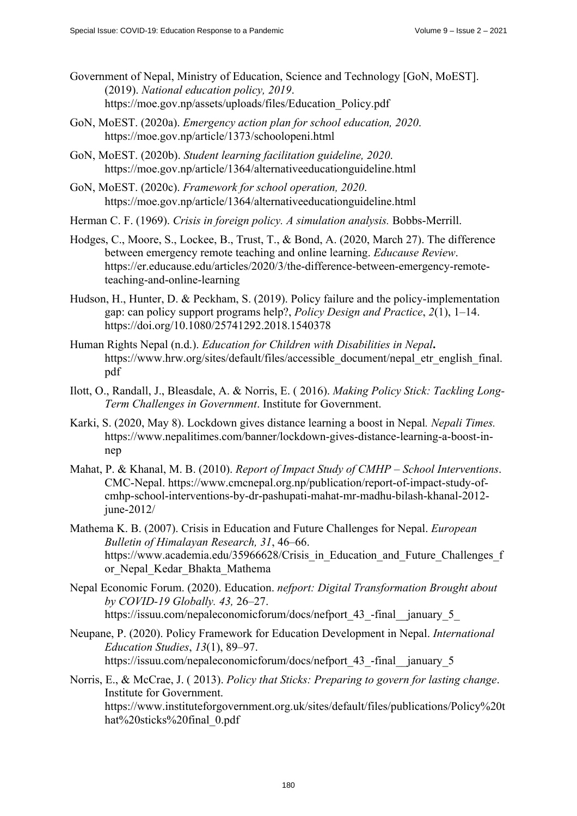- Government of Nepal, Ministry of Education, Science and Technology [GoN, MoEST]. (2019). *National education policy, 2019*. [https://moe.gov.np/assets/uploads/files/Education\\_Policy.pdf](https://moe.gov.np/assets/uploads/files/Education_Policy.pdf)
- GoN, MoEST. (2020a). *Emergency action plan for school education, 2020*. <https://moe.gov.np/article/1373/schoolopeni.html>
- GoN, MoEST. (2020b). *Student learning facilitation guideline, 2020*. <https://moe.gov.np/article/1364/alternativeeducationguideline.html>
- GoN, MoEST. (2020c). *Framework for school operation, 2020*. <https://moe.gov.np/article/1364/alternativeeducationguideline.html>
- Herman C. F. (1969). *Crisis in foreign policy. A simulation analysis.* Bobbs-Merrill.
- Hodges, C., Moore, S., Lockee, B., Trust, T., & Bond, A. (2020, March 27). The difference between emergency remote teaching and online learning. *Educause Review*. [https://er.educause.edu/articles/2020/3/the-difference-between-emergency-remote](https://er.educause.edu/articles/2020/3/the-difference-between-emergency-remote-teaching-and-online-learning)teaching-[and-online-learning](https://er.educause.edu/articles/2020/3/the-difference-between-emergency-remote-teaching-and-online-learning)
- Hudson, H., Hunter, D. & Peckham, S. (2019). Policy failure and the policy-implementation gap: can policy support programs help?, *Policy Design and Practice*, *2*(1), 1–14. <https://doi.org/10.1080/25741292.2018.1540378>
- Human Rights Nepal (n.d.). *Education for Children with Disabilities in Nepal***.** [https://www.hrw.org/sites/default/files/accessible\\_document/nepal\\_etr\\_english\\_final.](https://www.hrw.org/sites/default/files/accessible_document/nepal_etr_english_final) pdf
- Ilott, O., Randall, J., Bleasdale, A. & Norris, E. ( 2016). *Making Policy Stick: Tackling Long-Term Challenges in Government*. Institute for Government.
- Karki, S. (2020, May 8). Lockdown gives distance learning a boost in Nepal*. Nepali Times.*  [https://www.nepalitimes.com/banner/lockdown-gives-distance-learning-a-boost-in](https://www.nepalitimes.com/banner/lockdown-gives-distance-learning-a-boost-in-nepMahat)nep
- [Mahat, P.](https://www.nepalitimes.com/banner/lockdown-gives-distance-learning-a-boost-in-nepMahat) & Khanal, M. B. (2010). *Report of Impact Study of CMHP School Interventions*. CMC-Nepal. [https://www.cmcnepal.org.np/publication/report-of-impact-study-of](https://www.cmcnepal.org.np/publication/report-of-impact-study-of-cmhp-school-interventions-by-dr-pashupati-mahat-mr-madhu-bilash-khanal-2012-june-2012/)[cmhp-school-interventions-by-dr-pashupati-mahat-mr-madhu-bilash-khanal-2012](https://www.cmcnepal.org.np/publication/report-of-impact-study-of-cmhp-school-interventions-by-dr-pashupati-mahat-mr-madhu-bilash-khanal-2012-june-2012/) [june-2012/](https://www.cmcnepal.org.np/publication/report-of-impact-study-of-cmhp-school-interventions-by-dr-pashupati-mahat-mr-madhu-bilash-khanal-2012-june-2012/)
- Mathema K. B. (2007). Crisis in Education and Future Challenges for Nepal. *European Bulletin of Himalayan Research, 31*, 46–66. https://www.academia.edu/35966628/Crisis in Education and Future Challenges f or\_Nepal\_Kedar\_Bhakta\_Mathema
- Nepal Economic Forum. (2020). Education. *nefport: Digital Transformation Brought about by COVID-19 Globally. 43,* 26–27. https://issuu.com/nepaleconomicforum/docs/nefport 43 -final january 5
- Neupane, P. (2020). Policy Framework for Education Development in Nepal. *International Education Studies*, *13*(1), 89–97. https://issuu.com/nepaleconomicforum/docs/nefport 43 -final january 5
- Norris, E., & McCrae, J. ( 2013). *Policy that Sticks: Preparing to govern for lasting change*. Institute for Government. <https://www.instituteforgovernment.org.uk/sites/default/files/publications/Policy%20t> hat%20sticks%20final\_0.pdf